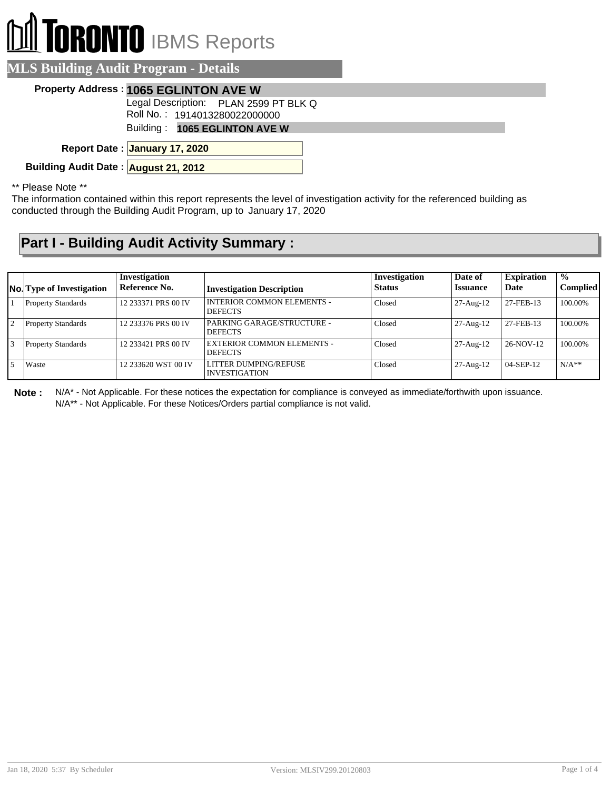## II TORONTO IBMS Reports  $\mathbb{D}$

| <b>MLS Building Audit Program - Details</b> |                                                                        |
|---------------------------------------------|------------------------------------------------------------------------|
|                                             | Property Address: 1065 EGLINTON AVE W                                  |
|                                             | Legal Description: PLAN 2599 PT BLK Q<br>Roll No.: 1914013280022000000 |
|                                             | Building: 1065 EGLINTON AVE W                                          |
|                                             | Report Date: January 17, 2020                                          |
| Building Audit Date: August 21, 2012        |                                                                        |
|                                             |                                                                        |

\*\* Please Note \*\*

The information contained within this report represents the level of investigation activity for the referenced building as conducted through the Building Audit Program, up to January 17, 2020

## **Part I - Building Audit Activity Summary :**

|                | <b>No.</b> Type of Investigation | Investigation<br>Reference No. | <b>Investigation Description</b>                    | Investigation<br><b>Status</b> | Date of<br><b>Issuance</b> | <b>Expiration</b><br>Date | $\frac{0}{0}$<br>Complied |
|----------------|----------------------------------|--------------------------------|-----------------------------------------------------|--------------------------------|----------------------------|---------------------------|---------------------------|
|                | <b>Property Standards</b>        | 12 233371 PRS 00 IV            | INTERIOR COMMON ELEMENTS -<br><b>DEFECTS</b>        | Closed                         | $27$ -Aug- $12$            | 27-FEB-13                 | 100.00%                   |
| $\overline{2}$ | <b>Property Standards</b>        | 12 233376 PRS 00 IV            | PARKING GARAGE/STRUCTURE -<br><b>DEFECTS</b>        | Closed                         | $27-Aug-12$                | 27-FEB-13                 | 100.00%                   |
| 3              | <b>Property Standards</b>        | 12 233421 PRS 00 IV            | <b>EXTERIOR COMMON ELEMENTS -</b><br><b>DEFECTS</b> | Closed                         | $27-Aug-12$                | 26-NOV-12                 | 100.00%                   |
|                | Waste                            | 12 233620 WST 00 IV            | LITTER DUMPING/REFUSE<br><b>INVESTIGATION</b>       | Closed                         | $27$ -Aug- $12$            | 04-SEP-12                 | $N/A**$                   |

**Note :** N/A\* - Not Applicable. For these notices the expectation for compliance is conveyed as immediate/forthwith upon issuance. N/A\*\* - Not Applicable. For these Notices/Orders partial compliance is not valid.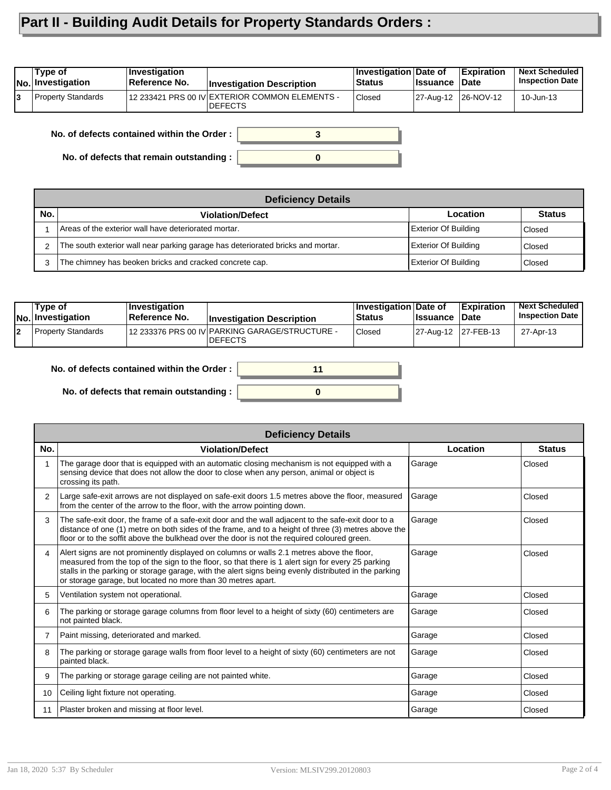## **Part II - Building Audit Details for Property Standards Orders :**

|    | Type of<br>No. Investigation | <b>Investigation</b><br>Reference No. | <b>Investigation Description</b>                                  | <b>Investigation Date of</b><br><b>Status</b> | ∣Issuance           | <b>Expiration</b><br>∣Date | <b>Next Scheduled</b><br><b>Inspection Date</b> |
|----|------------------------------|---------------------------------------|-------------------------------------------------------------------|-----------------------------------------------|---------------------|----------------------------|-------------------------------------------------|
| l3 | <b>Property Standards</b>    |                                       | 12 233421 PRS 00 IV EXTERIOR COMMON ELEMENTS -<br><b>IDEFECTS</b> | <b>Closed</b>                                 | 27-Aug-12 26-NOV-12 |                            | 10-Jun-13                                       |

**No. of defects contained within the Order :**

**No. of defects that remain outstanding :**

|     | <b>Deficiency Details</b>                                                       |                             |               |  |  |  |  |  |
|-----|---------------------------------------------------------------------------------|-----------------------------|---------------|--|--|--|--|--|
| No. | <b>Violation/Defect</b>                                                         | Location                    | <b>Status</b> |  |  |  |  |  |
|     | Areas of the exterior wall have deteriorated mortar.                            | <b>Exterior Of Building</b> | Closed        |  |  |  |  |  |
|     | The south exterior wall near parking garage has deteriorated bricks and mortar. | <b>Exterior Of Building</b> | Closed        |  |  |  |  |  |
|     | The chimney has beoken bricks and cracked concrete cap.                         | <b>Exterior Of Building</b> | Closed        |  |  |  |  |  |

**0**

**3**

|    | Tvpe of<br>No. Investigation | ∣Investiqation<br>∣Reference No. | <b>Investigation Description</b>                                 | <b>Investigation Date of</b><br><b>Status</b> | <b>∣Issuance</b>    | <b>Expiration</b><br><b>Date</b> | <b>Next Scheduled</b><br><b>Inspection Date</b> |
|----|------------------------------|----------------------------------|------------------------------------------------------------------|-----------------------------------------------|---------------------|----------------------------------|-------------------------------------------------|
| 12 | <b>Property Standards</b>    |                                  | 12 233376 PRS 00 IV PARKING GARAGE/STRUCTURE -<br><b>DEFECTS</b> | Closed                                        | 27-Aug-12 27-FEB-13 |                                  | 27-Apr-13                                       |



|                | <b>Deficiency Details</b>                                                                                                                                                                                                                                                                                                                                                |          |               |  |  |  |  |
|----------------|--------------------------------------------------------------------------------------------------------------------------------------------------------------------------------------------------------------------------------------------------------------------------------------------------------------------------------------------------------------------------|----------|---------------|--|--|--|--|
| No.            | <b>Violation/Defect</b>                                                                                                                                                                                                                                                                                                                                                  | Location | <b>Status</b> |  |  |  |  |
|                | The garage door that is equipped with an automatic closing mechanism is not equipped with a<br>sensing device that does not allow the door to close when any person, animal or object is<br>crossing its path.                                                                                                                                                           | Garage   | Closed        |  |  |  |  |
| $\overline{2}$ | Large safe-exit arrows are not displayed on safe-exit doors 1.5 metres above the floor, measured<br>from the center of the arrow to the floor, with the arrow pointing down.                                                                                                                                                                                             | Garage   | Closed        |  |  |  |  |
| 3              | The safe-exit door, the frame of a safe-exit door and the wall adjacent to the safe-exit door to a<br>distance of one (1) metre on both sides of the frame, and to a height of three (3) metres above the<br>floor or to the soffit above the bulkhead over the door is not the required coloured green.                                                                 | Garage   | Closed        |  |  |  |  |
| 4              | Alert signs are not prominently displayed on columns or walls 2.1 metres above the floor,<br>measured from the top of the sign to the floor, so that there is 1 alert sign for every 25 parking<br>stalls in the parking or storage garage, with the alert signs being evenly distributed in the parking<br>or storage garage, but located no more than 30 metres apart. | Garage   | Closed        |  |  |  |  |
| 5              | Ventilation system not operational.                                                                                                                                                                                                                                                                                                                                      | Garage   | Closed        |  |  |  |  |
| 6              | The parking or storage garage columns from floor level to a height of sixty (60) centimeters are<br>not painted black.                                                                                                                                                                                                                                                   | Garage   | Closed        |  |  |  |  |
| 7              | Paint missing, deteriorated and marked.                                                                                                                                                                                                                                                                                                                                  | Garage   | Closed        |  |  |  |  |
| 8              | The parking or storage garage walls from floor level to a height of sixty (60) centimeters are not<br>painted black.                                                                                                                                                                                                                                                     | Garage   | Closed        |  |  |  |  |
| 9              | The parking or storage garage ceiling are not painted white.                                                                                                                                                                                                                                                                                                             | Garage   | Closed        |  |  |  |  |
| 10             | Ceiling light fixture not operating.                                                                                                                                                                                                                                                                                                                                     | Garage   | Closed        |  |  |  |  |
| 11             | Plaster broken and missing at floor level.                                                                                                                                                                                                                                                                                                                               | Garage   | Closed        |  |  |  |  |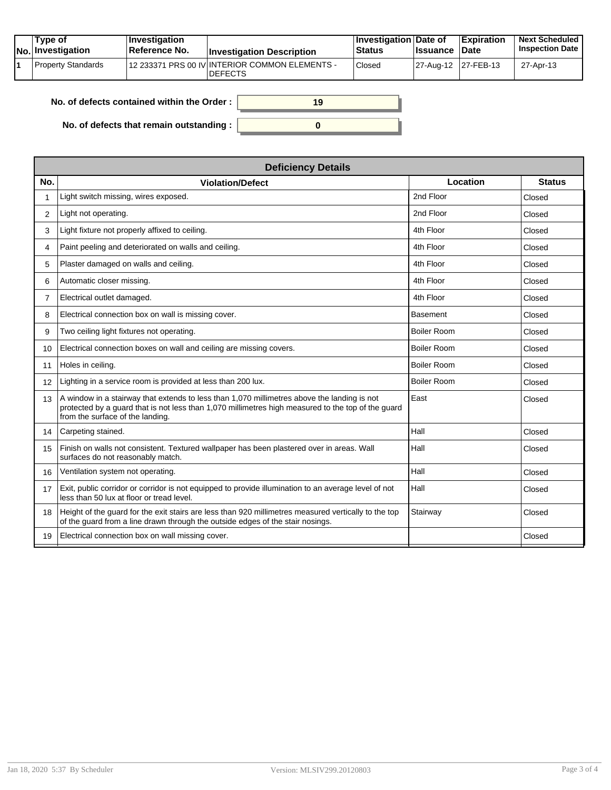|  | Tvpe of<br>No. Investigation | $\vert$ Investigation<br><b>∣Reference No.</b> | <b>Investigation Description</b>                                 | ∣Investigation Date of<br><b>Status</b> | <b>Issuance Date</b> | <b>Expiration</b> | <b>Next Scheduled</b><br><b>Inspection Date</b> |
|--|------------------------------|------------------------------------------------|------------------------------------------------------------------|-----------------------------------------|----------------------|-------------------|-------------------------------------------------|
|  | Property Standards           |                                                | 12 233371 PRS 00 IV INTERIOR COMMON ELEMENTS -<br><b>DEFECTS</b> | Closed                                  | 27-Aug-12 27-FEB-13  |                   | 27-Apr-13                                       |

| No. of defects contained within the Order: | 19 |
|--------------------------------------------|----|
| No. of defects that remain outstanding :   |    |

|                   | <b>Deficiency Details</b>                                                                                                                                                                                                             |                    |               |  |  |  |  |  |
|-------------------|---------------------------------------------------------------------------------------------------------------------------------------------------------------------------------------------------------------------------------------|--------------------|---------------|--|--|--|--|--|
| No.               | <b>Violation/Defect</b>                                                                                                                                                                                                               | Location           | <b>Status</b> |  |  |  |  |  |
| 1                 | Light switch missing, wires exposed.                                                                                                                                                                                                  | 2nd Floor          | Closed        |  |  |  |  |  |
| 2                 | Light not operating.                                                                                                                                                                                                                  | 2nd Floor          | Closed        |  |  |  |  |  |
| 3                 | Light fixture not properly affixed to ceiling.                                                                                                                                                                                        | 4th Floor          | Closed        |  |  |  |  |  |
| 4                 | Paint peeling and deteriorated on walls and ceiling.                                                                                                                                                                                  | 4th Floor          | Closed        |  |  |  |  |  |
| 5                 | Plaster damaged on walls and ceiling.                                                                                                                                                                                                 | 4th Floor          | Closed        |  |  |  |  |  |
| 6                 | Automatic closer missing.                                                                                                                                                                                                             | 4th Floor          | Closed        |  |  |  |  |  |
| $\overline{7}$    | Electrical outlet damaged.                                                                                                                                                                                                            | 4th Floor          | Closed        |  |  |  |  |  |
| 8                 | Electrical connection box on wall is missing cover.                                                                                                                                                                                   | <b>Basement</b>    | Closed        |  |  |  |  |  |
| 9                 | Two ceiling light fixtures not operating.                                                                                                                                                                                             | <b>Boiler Room</b> | Closed        |  |  |  |  |  |
| 10                | Electrical connection boxes on wall and ceiling are missing covers.                                                                                                                                                                   | <b>Boiler Room</b> | Closed        |  |  |  |  |  |
| 11                | Holes in ceiling.                                                                                                                                                                                                                     | <b>Boiler Room</b> | Closed        |  |  |  |  |  |
| $12 \overline{ }$ | Lighting in a service room is provided at less than 200 lux.                                                                                                                                                                          | <b>Boiler Room</b> | Closed        |  |  |  |  |  |
| 13                | A window in a stairway that extends to less than 1,070 millimetres above the landing is not<br>protected by a guard that is not less than 1,070 millimetres high measured to the top of the guard<br>from the surface of the landing. | East               | Closed        |  |  |  |  |  |
| 14                | Carpeting stained.                                                                                                                                                                                                                    | Hall               | Closed        |  |  |  |  |  |
| 15                | Finish on walls not consistent. Textured wallpaper has been plastered over in areas. Wall<br>surfaces do not reasonably match.                                                                                                        | Hall               | Closed        |  |  |  |  |  |
| 16                | Ventilation system not operating.                                                                                                                                                                                                     | Hall               | Closed        |  |  |  |  |  |
| 17                | Exit, public corridor or corridor is not equipped to provide illumination to an average level of not<br>less than 50 lux at floor or tread level.                                                                                     | Hall               | Closed        |  |  |  |  |  |
| 18                | Height of the quard for the exit stairs are less than 920 millimetres measured vertically to the top<br>of the guard from a line drawn through the outside edges of the stair nosings.                                                | Stairway           | Closed        |  |  |  |  |  |
| 19                | Electrical connection box on wall missing cover.                                                                                                                                                                                      |                    | Closed        |  |  |  |  |  |